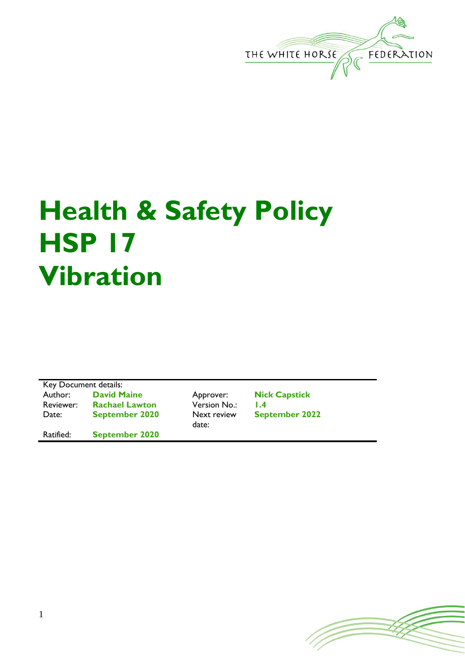

## **Health & Safety Policy HSP 17 Vibration**

Key Document details: Author: **David Maine** Approver: **Nick Capstick** Reviewer: **Rachael Lawton** Version No.: **1.4** Date: **September 2020** Next review Ratified: **September 2020**

date:

**September 2022**

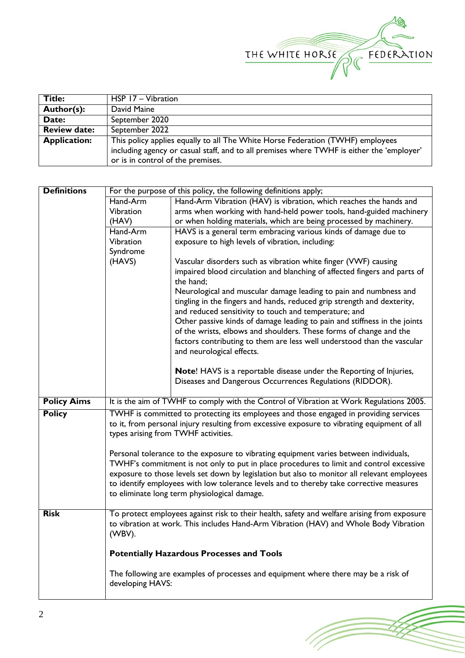

(Topon

| Title:              | HSP 17 - Vibration                                                                        |
|---------------------|-------------------------------------------------------------------------------------------|
| Author(s):          | David Maine                                                                               |
| Date:               | September 2020                                                                            |
| <b>Review date:</b> | September 2022                                                                            |
| <b>Application:</b> | This policy applies equally to all The White Horse Federation (TWHF) employees            |
|                     | including agency or casual staff, and to all premises where TWHF is either the 'employer' |
|                     | or is in control of the premises.                                                         |

| <b>Definitions</b> | For the purpose of this policy, the following definitions apply;                            |                                                                                                                                 |  |  |
|--------------------|---------------------------------------------------------------------------------------------|---------------------------------------------------------------------------------------------------------------------------------|--|--|
|                    | Hand-Arm<br>Hand-Arm Vibration (HAV) is vibration, which reaches the hands and              |                                                                                                                                 |  |  |
|                    | Vibration                                                                                   | arms when working with hand-held power tools, hand-guided machinery                                                             |  |  |
|                    | (HAV)                                                                                       | or when holding materials, which are being processed by machinery.                                                              |  |  |
|                    | Hand-Arm                                                                                    | HAVS is a general term embracing various kinds of damage due to                                                                 |  |  |
|                    | Vibration                                                                                   | exposure to high levels of vibration, including:                                                                                |  |  |
|                    | Syndrome                                                                                    |                                                                                                                                 |  |  |
|                    | (HAVS)                                                                                      | Vascular disorders such as vibration white finger (VWF) causing                                                                 |  |  |
|                    |                                                                                             | impaired blood circulation and blanching of affected fingers and parts of                                                       |  |  |
|                    |                                                                                             | the hand;                                                                                                                       |  |  |
|                    |                                                                                             | Neurological and muscular damage leading to pain and numbness and                                                               |  |  |
|                    |                                                                                             | tingling in the fingers and hands, reduced grip strength and dexterity,                                                         |  |  |
|                    |                                                                                             | and reduced sensitivity to touch and temperature; and                                                                           |  |  |
|                    |                                                                                             | Other passive kinds of damage leading to pain and stiffness in the joints                                                       |  |  |
|                    |                                                                                             | of the wrists, elbows and shoulders. These forms of change and the                                                              |  |  |
|                    |                                                                                             | factors contributing to them are less well understood than the vascular                                                         |  |  |
|                    |                                                                                             | and neurological effects.                                                                                                       |  |  |
|                    |                                                                                             |                                                                                                                                 |  |  |
|                    |                                                                                             | Note! HAVS is a reportable disease under the Reporting of Injuries,<br>Diseases and Dangerous Occurrences Regulations (RIDDOR). |  |  |
|                    |                                                                                             |                                                                                                                                 |  |  |
| <b>Policy Aims</b> |                                                                                             | It is the aim of TWHF to comply with the Control of Vibration at Work Regulations 2005.                                         |  |  |
| <b>Policy</b>      | TWHF is committed to protecting its employees and those engaged in providing services       |                                                                                                                                 |  |  |
|                    | to it, from personal injury resulting from excessive exposure to vibrating equipment of all |                                                                                                                                 |  |  |
|                    | types arising from TWHF activities.                                                         |                                                                                                                                 |  |  |
|                    |                                                                                             |                                                                                                                                 |  |  |
|                    | Personal tolerance to the exposure to vibrating equipment varies between individuals,       |                                                                                                                                 |  |  |
|                    | TWHF's commitment is not only to put in place procedures to limit and control excessive     |                                                                                                                                 |  |  |
|                    | exposure to those levels set down by legislation but also to monitor all relevant employees |                                                                                                                                 |  |  |
|                    | to identify employees with low tolerance levels and to thereby take corrective measures     |                                                                                                                                 |  |  |
|                    | to eliminate long term physiological damage.                                                |                                                                                                                                 |  |  |
|                    |                                                                                             |                                                                                                                                 |  |  |
| <b>Risk</b>        | To protect employees against risk to their health, safety and welfare arising from exposure |                                                                                                                                 |  |  |
|                    | to vibration at work. This includes Hand-Arm Vibration (HAV) and Whole Body Vibration       |                                                                                                                                 |  |  |
|                    | (WBV).                                                                                      |                                                                                                                                 |  |  |
|                    |                                                                                             |                                                                                                                                 |  |  |
|                    | <b>Potentially Hazardous Processes and Tools</b>                                            |                                                                                                                                 |  |  |
|                    | The following are examples of processes and equipment where there may be a risk of          |                                                                                                                                 |  |  |
|                    | developing HAVS:                                                                            |                                                                                                                                 |  |  |
|                    |                                                                                             |                                                                                                                                 |  |  |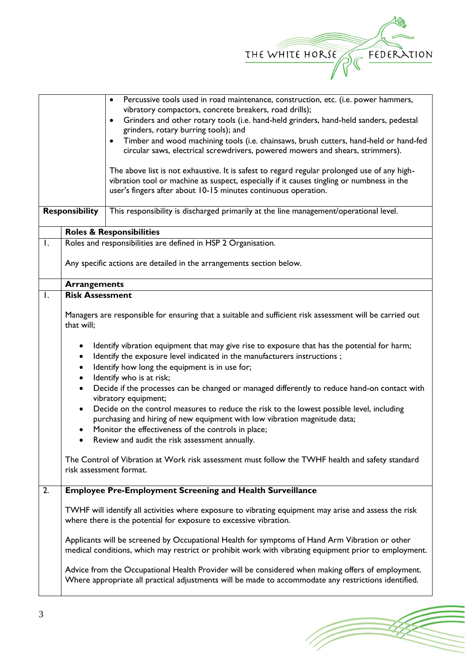

|                |                                                                                                                                                                                                                                                                                                                                                                                                                                                                                                                                                                                                                                                                                                                                                                                                                                                                                                                                                                                                       | Percussive tools used in road maintenance, construction, etc. (i.e. power hammers,<br>$\bullet$<br>vibratory compactors, concrete breakers, road drills);<br>Grinders and other rotary tools (i.e. hand-held grinders, hand-held sanders, pedestal<br>$\bullet$<br>grinders, rotary burring tools); and<br>Timber and wood machining tools (i.e. chainsaws, brush cutters, hand-held or hand-fed<br>$\bullet$<br>circular saws, electrical screwdrivers, powered mowers and shears, strimmers).<br>The above list is not exhaustive. It is safest to regard regular prolonged use of any high-<br>vibration tool or machine as suspect, especially if it causes tingling or numbness in the<br>user's fingers after about 10-15 minutes continuous operation. |  |
|----------------|-------------------------------------------------------------------------------------------------------------------------------------------------------------------------------------------------------------------------------------------------------------------------------------------------------------------------------------------------------------------------------------------------------------------------------------------------------------------------------------------------------------------------------------------------------------------------------------------------------------------------------------------------------------------------------------------------------------------------------------------------------------------------------------------------------------------------------------------------------------------------------------------------------------------------------------------------------------------------------------------------------|---------------------------------------------------------------------------------------------------------------------------------------------------------------------------------------------------------------------------------------------------------------------------------------------------------------------------------------------------------------------------------------------------------------------------------------------------------------------------------------------------------------------------------------------------------------------------------------------------------------------------------------------------------------------------------------------------------------------------------------------------------------|--|
|                | <b>Responsibility</b>                                                                                                                                                                                                                                                                                                                                                                                                                                                                                                                                                                                                                                                                                                                                                                                                                                                                                                                                                                                 | This responsibility is discharged primarily at the line management/operational level.                                                                                                                                                                                                                                                                                                                                                                                                                                                                                                                                                                                                                                                                         |  |
|                |                                                                                                                                                                                                                                                                                                                                                                                                                                                                                                                                                                                                                                                                                                                                                                                                                                                                                                                                                                                                       | <b>Roles &amp; Responsibilities</b>                                                                                                                                                                                                                                                                                                                                                                                                                                                                                                                                                                                                                                                                                                                           |  |
| Ι.             |                                                                                                                                                                                                                                                                                                                                                                                                                                                                                                                                                                                                                                                                                                                                                                                                                                                                                                                                                                                                       | Roles and responsibilities are defined in HSP 2 Organisation.                                                                                                                                                                                                                                                                                                                                                                                                                                                                                                                                                                                                                                                                                                 |  |
|                | Any specific actions are detailed in the arrangements section below.                                                                                                                                                                                                                                                                                                                                                                                                                                                                                                                                                                                                                                                                                                                                                                                                                                                                                                                                  |                                                                                                                                                                                                                                                                                                                                                                                                                                                                                                                                                                                                                                                                                                                                                               |  |
|                | <b>Arrangements</b>                                                                                                                                                                                                                                                                                                                                                                                                                                                                                                                                                                                                                                                                                                                                                                                                                                                                                                                                                                                   |                                                                                                                                                                                                                                                                                                                                                                                                                                                                                                                                                                                                                                                                                                                                                               |  |
| $\mathbf{I}$ . | <b>Risk Assessment</b><br>Managers are responsible for ensuring that a suitable and sufficient risk assessment will be carried out<br>that will;<br>Identify vibration equipment that may give rise to exposure that has the potential for harm;<br>Identify the exposure level indicated in the manufacturers instructions;<br>٠<br>Identify how long the equipment is in use for;<br>$\bullet$<br>Identify who is at risk;<br>٠<br>Decide if the processes can be changed or managed differently to reduce hand-on contact with<br>$\bullet$<br>vibratory equipment;<br>Decide on the control measures to reduce the risk to the lowest possible level, including<br>$\bullet$<br>purchasing and hiring of new equipment with low vibration magnitude data;<br>Monitor the effectiveness of the controls in place;<br>Review and audit the risk assessment annually.<br>The Control of Vibration at Work risk assessment must follow the TWHF health and safety standard<br>risk assessment format. |                                                                                                                                                                                                                                                                                                                                                                                                                                                                                                                                                                                                                                                                                                                                                               |  |
| 2.             |                                                                                                                                                                                                                                                                                                                                                                                                                                                                                                                                                                                                                                                                                                                                                                                                                                                                                                                                                                                                       | <b>Employee Pre-Employment Screening and Health Surveillance</b>                                                                                                                                                                                                                                                                                                                                                                                                                                                                                                                                                                                                                                                                                              |  |
|                | TWHF will identify all activities where exposure to vibrating equipment may arise and assess the risk<br>where there is the potential for exposure to excessive vibration.<br>Applicants will be screened by Occupational Health for symptoms of Hand Arm Vibration or other<br>medical conditions, which may restrict or prohibit work with vibrating equipment prior to employment.<br>Advice from the Occupational Health Provider will be considered when making offers of employment.<br>Where appropriate all practical adjustments will be made to accommodate any restrictions identified.                                                                                                                                                                                                                                                                                                                                                                                                    |                                                                                                                                                                                                                                                                                                                                                                                                                                                                                                                                                                                                                                                                                                                                                               |  |

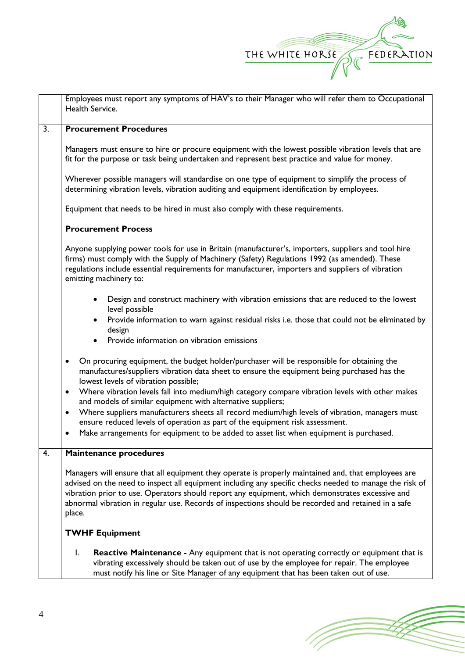

|    | Employees must report any symptoms of HAV's to their Manager who will refer them to Occupational<br>Health Service.                                                                                                                                                                                                                                                                                                                                                                                                                                                                                                                                                                                                                |  |  |
|----|------------------------------------------------------------------------------------------------------------------------------------------------------------------------------------------------------------------------------------------------------------------------------------------------------------------------------------------------------------------------------------------------------------------------------------------------------------------------------------------------------------------------------------------------------------------------------------------------------------------------------------------------------------------------------------------------------------------------------------|--|--|
| 3. | <b>Procurement Procedures</b>                                                                                                                                                                                                                                                                                                                                                                                                                                                                                                                                                                                                                                                                                                      |  |  |
|    | Managers must ensure to hire or procure equipment with the lowest possible vibration levels that are<br>fit for the purpose or task being undertaken and represent best practice and value for money.<br>Wherever possible managers will standardise on one type of equipment to simplify the process of<br>determining vibration levels, vibration auditing and equipment identification by employees.                                                                                                                                                                                                                                                                                                                            |  |  |
|    | Equipment that needs to be hired in must also comply with these requirements.                                                                                                                                                                                                                                                                                                                                                                                                                                                                                                                                                                                                                                                      |  |  |
|    | <b>Procurement Process</b>                                                                                                                                                                                                                                                                                                                                                                                                                                                                                                                                                                                                                                                                                                         |  |  |
|    | Anyone supplying power tools for use in Britain (manufacturer's, importers, suppliers and tool hire<br>firms) must comply with the Supply of Machinery (Safety) Regulations 1992 (as amended). These<br>regulations include essential requirements for manufacturer, importers and suppliers of vibration<br>emitting machinery to:                                                                                                                                                                                                                                                                                                                                                                                                |  |  |
|    | Design and construct machinery with vibration emissions that are reduced to the lowest<br>level possible<br>Provide information to warn against residual risks i.e. those that could not be eliminated by<br>design<br>Provide information on vibration emissions                                                                                                                                                                                                                                                                                                                                                                                                                                                                  |  |  |
|    | On procuring equipment, the budget holder/purchaser will be responsible for obtaining the<br>$\bullet$<br>manufactures/suppliers vibration data sheet to ensure the equipment being purchased has the<br>lowest levels of vibration possible;<br>Where vibration levels fall into medium/high category compare vibration levels with other makes<br>$\bullet$<br>and models of similar equipment with alternative suppliers;<br>Where suppliers manufacturers sheets all record medium/high levels of vibration, managers must<br>$\bullet$<br>ensure reduced levels of operation as part of the equipment risk assessment.<br>Make arrangements for equipment to be added to asset list when equipment is purchased.<br>$\bullet$ |  |  |
| 4. | <b>Maintenance procedures</b>                                                                                                                                                                                                                                                                                                                                                                                                                                                                                                                                                                                                                                                                                                      |  |  |
|    | Managers will ensure that all equipment they operate is properly maintained and, that employees are<br>advised on the need to inspect all equipment including any specific checks needed to manage the risk of<br>vibration prior to use. Operators should report any equipment, which demonstrates excessive and<br>abnormal vibration in regular use. Records of inspections should be recorded and retained in a safe<br>place.                                                                                                                                                                                                                                                                                                 |  |  |
|    | <b>TWHF Equipment</b>                                                                                                                                                                                                                                                                                                                                                                                                                                                                                                                                                                                                                                                                                                              |  |  |
|    | $\mathsf{I}$ .<br><b>Reactive Maintenance -</b> Any equipment that is not operating correctly or equipment that is<br>vibrating excessively should be taken out of use by the employee for repair. The employee<br>must notify his line or Site Manager of any equipment that has been taken out of use.                                                                                                                                                                                                                                                                                                                                                                                                                           |  |  |

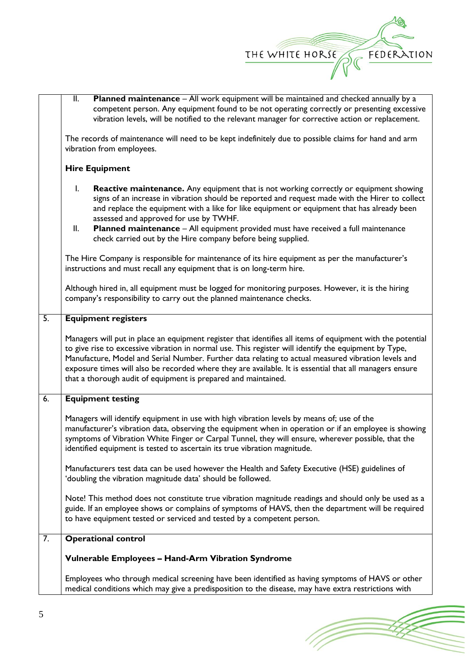

1 T

|                  | $\overline{\mathbb{I}}$ .<br>Planned maintenance - All work equipment will be maintained and checked annually by a<br>competent person. Any equipment found to be not operating correctly or presenting excessive<br>vibration levels, will be notified to the relevant manager for corrective action or replacement.                                                                                                                                                                                                    |  |  |  |
|------------------|--------------------------------------------------------------------------------------------------------------------------------------------------------------------------------------------------------------------------------------------------------------------------------------------------------------------------------------------------------------------------------------------------------------------------------------------------------------------------------------------------------------------------|--|--|--|
|                  | The records of maintenance will need to be kept indefinitely due to possible claims for hand and arm<br>vibration from employees.                                                                                                                                                                                                                                                                                                                                                                                        |  |  |  |
|                  | <b>Hire Equipment</b>                                                                                                                                                                                                                                                                                                                                                                                                                                                                                                    |  |  |  |
|                  | $\mathbf{I}$ .<br><b>Reactive maintenance.</b> Any equipment that is not working correctly or equipment showing<br>signs of an increase in vibration should be reported and request made with the Hirer to collect<br>and replace the equipment with a like for like equipment or equipment that has already been<br>assessed and approved for use by TWHF.<br>Planned maintenance - All equipment provided must have received a full maintenance<br>II.<br>check carried out by the Hire company before being supplied. |  |  |  |
|                  | The Hire Company is responsible for maintenance of its hire equipment as per the manufacturer's<br>instructions and must recall any equipment that is on long-term hire.                                                                                                                                                                                                                                                                                                                                                 |  |  |  |
|                  | Although hired in, all equipment must be logged for monitoring purposes. However, it is the hiring<br>company's responsibility to carry out the planned maintenance checks.                                                                                                                                                                                                                                                                                                                                              |  |  |  |
| $\overline{5}$ . | <b>Equipment registers</b>                                                                                                                                                                                                                                                                                                                                                                                                                                                                                               |  |  |  |
|                  | Managers will put in place an equipment register that identifies all items of equipment with the potential<br>to give rise to excessive vibration in normal use. This register will identify the equipment by Type,<br>Manufacture, Model and Serial Number. Further data relating to actual measured vibration levels and<br>exposure times will also be recorded where they are available. It is essential that all managers ensure<br>that a thorough audit of equipment is prepared and maintained.                  |  |  |  |
| 6.               | <b>Equipment testing</b>                                                                                                                                                                                                                                                                                                                                                                                                                                                                                                 |  |  |  |
|                  | Managers will identify equipment in use with high vibration levels by means of; use of the<br>manufacturer's vibration data, observing the equipment when in operation or if an employee is showing<br>symptoms of Vibration White Finger or Carpal Tunnel, they will ensure, wherever possible, that the<br>identified equipment is tested to ascertain its true vibration magnitude.                                                                                                                                   |  |  |  |
|                  | Manufacturers test data can be used however the Health and Safety Executive (HSE) guidelines of<br>'doubling the vibration magnitude data' should be followed.                                                                                                                                                                                                                                                                                                                                                           |  |  |  |
|                  | Note! This method does not constitute true vibration magnitude readings and should only be used as a<br>guide. If an employee shows or complains of symptoms of HAVS, then the department will be required<br>to have equipment tested or serviced and tested by a competent person.                                                                                                                                                                                                                                     |  |  |  |
| 7.               | <b>Operational control</b>                                                                                                                                                                                                                                                                                                                                                                                                                                                                                               |  |  |  |
|                  | Vulnerable Employees - Hand-Arm Vibration Syndrome                                                                                                                                                                                                                                                                                                                                                                                                                                                                       |  |  |  |
|                  | Employees who through medical screening have been identified as having symptoms of HAVS or other<br>medical conditions which may give a predisposition to the disease, may have extra restrictions with                                                                                                                                                                                                                                                                                                                  |  |  |  |